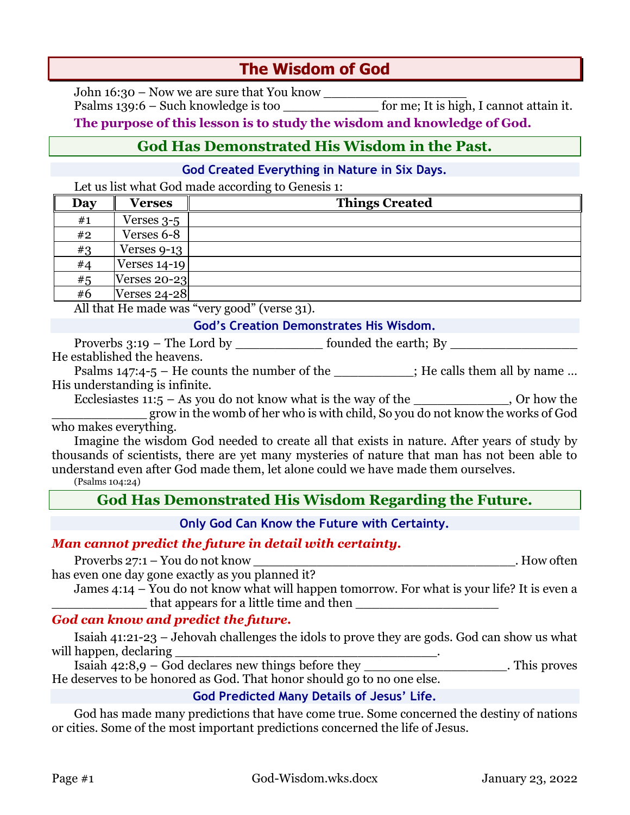# **The Wisdom of God**

John 16:30 – Now we are sure that You know \_\_\_\_\_\_\_\_\_\_\_\_\_\_\_\_\_\_ Psalms 139:6 – Such knowledge is too \_\_\_\_\_\_\_\_\_\_\_\_\_\_\_\_\_\_\_\_ for me; It is high, I cannot attain it.

**The purpose of this lesson is to study the wisdom and knowledge of God.**

## **God Has Demonstrated His Wisdom in the Past.**

### **God Created Everything in Nature in Six Days.**

Let us list what God made according to Genesis 1:

| Day | Verses              | <b>Things Created</b> |  |
|-----|---------------------|-----------------------|--|
| #1  | Verses $3-5$        |                       |  |
| #2  | Verses 6-8          |                       |  |
| #3  | Verses 9-13         |                       |  |
| #4  | Verses $14-19$      |                       |  |
| #5  | Verses $20-23$      |                       |  |
| #6  | <b>Verses 24-28</b> |                       |  |

All that He made was "very good" (verse 31).

#### **God's Creation Demonstrates His Wisdom.**

Proverbs 3:19 – The Lord by \_\_\_\_\_\_\_\_\_\_\_\_\_\_\_\_\_\_\_ founded the earth; By \_\_\_\_\_\_\_\_\_\_ He established the heavens.

Psalms 147:4-5 – He counts the number of the  $\cdot$  ; He calls them all by name ... His understanding is infinite.

Ecclesiastes  $11:5 - As$  you do not know what is the way of the \_\_\_\_\_\_\_\_\_\_\_, Or how the \_\_\_\_\_\_\_\_\_\_\_\_ grow in the womb of her who is with child, So you do not know the works of God

who makes everything.

Imagine the wisdom God needed to create all that exists in nature. After years of study by thousands of scientists, there are yet many mysteries of nature that man has not been able to understand even after God made them, let alone could we have made them ourselves.

(Psalms 104:24)

## **God Has Demonstrated His Wisdom Regarding the Future.**

**Only God Can Know the Future with Certainty.**

### *Man cannot predict the future in detail with certainty.*

Proverbs 27:1 – You do not know . How often has even one day gone exactly as you planned it?

James  $4:14$  – You do not know what will happen tomorrow. For what is your life? It is even a \_\_\_\_\_\_\_\_\_\_\_\_ that appears for a little time and then \_\_\_\_\_\_\_\_\_\_\_\_\_\_\_\_\_\_

### *God can know and predict the future.*

Isaiah 41:21-23 – Jehovah challenges the idols to prove they are gods. God can show us what will happen, declaring

Isaiah  $42:8.9 - God$  declares new things before they contained the set of  $\overline{1}$ . This proves He deserves to be honored as God. That honor should go to no one else.

### **God Predicted Many Details of Jesus' Life.**

God has made many predictions that have come true. Some concerned the destiny of nations or cities. Some of the most important predictions concerned the life of Jesus.